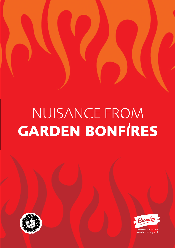# Nuisance from **garden bonf res**





HE LONDON BOROUGH www.bromley.gov.uk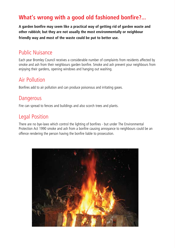#### **What's wrong with a good old fashioned bonfire?...**

**A garden bonfire may seem like a practical way of getting rid of garden waste and other rubbish; but they are not usually the most environmentally or neighbour friendly way and most of the waste could be put to better use.**

#### Public Nuisance

Each year Bromley Council receives a considerable number of complaints from residents affected by smoke and ash from their neighbours garden bonfire. Smoke and ash prevent your neighbours from enjoying their gardens, opening windows and hanging out washing.

#### Air Pollution

Bonfires add to air pollution and can produce poisonous and irritating gases.

#### **Dangerous**

Fire can spread to fences and buildings and also scorch trees and plants.

#### Legal Position

There are no bye-laws which control the lighting of bonfires - but under The Environmental Protection Act 1990 smoke and ash from a bonfire causing annoyance to neighbours could be an offence rendering the person having the bonfire liable to prosecution.

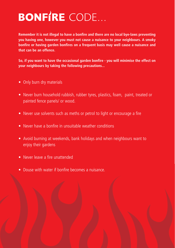## **BONFIRE** CODE...

**Remember it is not illegal to have a bonfire and there are no local bye-laws preventing you having one, however you must not cause a nuisance to your neighbours. A smoky bonfire or having garden bonfires on a frequent basis may well cause a nuisance and that can be an offence.**

**So, if you want to have the occasional garden bonfire - you will minimise the effect on your neighbours by taking the following precautions...**

- Only burn dry materials
- Never burn household rubbish, rubber tyres, plastics, foam, paint, treated or painted fence panels/ or wood.
- Never use solvents such as meths or petrol to light or encourage a fire
- Never have a bonfire in unsuitable weather conditions
- Avoid burning at weekends, bank holidays and when neighbours want to enjoy their gardens
- Never leave a fire unattended
- Douse with water if bonfire becomes a nuisance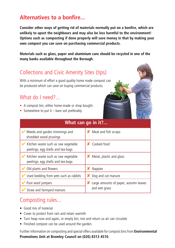#### **Alternatives to a bonfire...**

**Consider other ways of getting rid of materials normally put on a bonfire, which are unlikely to upset the neighbours and may also be less harmful to the environment! Options such as composting if done properly will save money in that by making your own compost you can save on purchasing commercial products.**

**Materials such as glass, paper and aluminium cans should be recycled in one of the many banks available throughout the Borough.**

#### Collections and Civic Amenity Sites (tips)

With a minimum of effort a good quality home made compost can be produced which can save on buying commercial products.

#### What do Lneed?

- A compost bin, either home-made or shop bought.
- Somewhere to put it  $-$  bare soil preferably.

| What can go in it?                                                       |                                                          |
|--------------------------------------------------------------------------|----------------------------------------------------------|
| Weeds and garden trimmings and<br>shredded wood prunings                 | <b>X</b> Meat and fish scraps                            |
| Kitchen waste such as raw vegetable<br>peelings; egg shells and tea-bags | X Cooked food                                            |
| Kitchen waste such as raw vegetable<br>peelings; egg shells and tea-bags | <b>X</b> Metal, plastic and glass                        |
| Old plants and flowers                                                   | <b>Nappies</b>                                           |
| $\triangleright$ Used bedding from pets such as rabbits                  | X Dog and cat manure                                     |
| Pure wool jumpers                                                        | X Large amounts of paper, autumn leaves<br>and wet grass |
| Straw and farmyard manure.                                               |                                                          |

#### Composting rules...

- Good mix of material
- Cover to protect from rain and retain warmth
- Turn heap now and again, or empty bin, mix and return so air can circulate
- Finished compost can be used around the garden.

Further information on composting and special offers available forcompost bins from **Environmental Promotions Unit at Bromley Council on (020) 8313 4510**.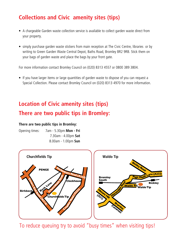#### **Collections and Civic amenity sites (tips)**

- A chargeable Garden waste collection service is available to collect garden waste direct from your property.
- simply purchase garden waste stickers from main reception at The Civic Centre, libraries or by writing to Green Garden Waste Central Depot, Baths Road, Bromley BR2 9RB. Stick them on your bags of garden waste and place the bags by your front gate.

For more information contact Bromley Council on (020) 8313 4557 or 0800 389 3804.

• If you have larger items or large quantities of garden waste to dispose of you can request a Special Collection. Please contact Bromley Council on (020) 8313 4970 for more information.

### **Location of Civic amenity sites (tips) There are two public tips in Bromley:**

#### **There are two public tips in Bromley:**

| Opening times: | 7am - 5.30pm Mon - Fri |
|----------------|------------------------|
|                | 7.30am - 4.00pm Sat    |
|                | 8.00am - 1.00pm Sun    |



To reduce queuing try to avoid "busy times" when visiting tips!